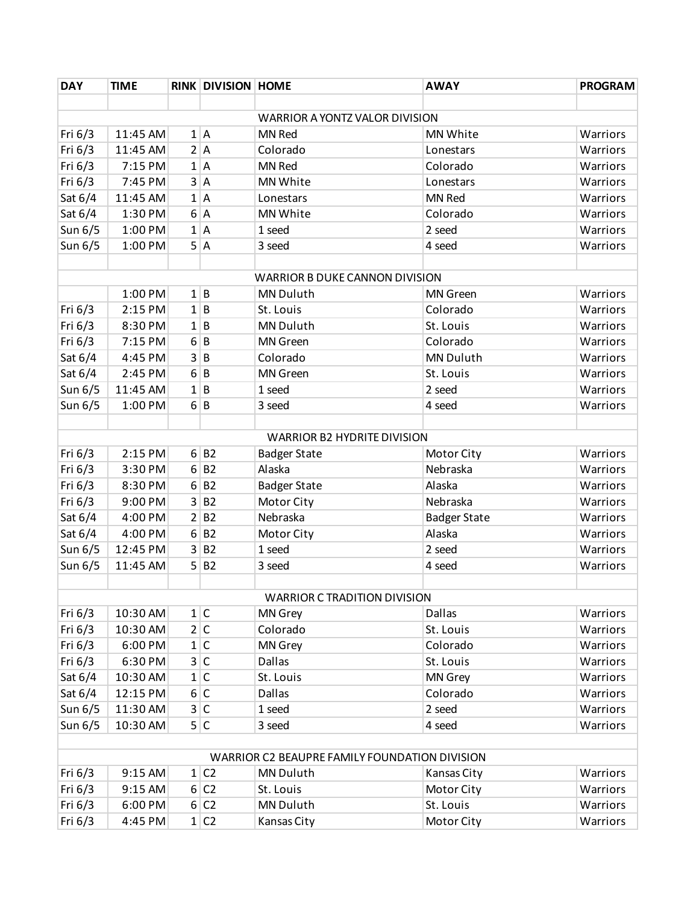| <b>DAY</b>                                    | <b>TIME</b> |                | <b>RINK DIVISION HOME</b> |                                    | <b>AWAY</b>         | <b>PROGRAM</b> |  |  |  |
|-----------------------------------------------|-------------|----------------|---------------------------|------------------------------------|---------------------|----------------|--|--|--|
|                                               |             |                |                           |                                    |                     |                |  |  |  |
| <b>WARRIOR A YONTZ VALOR DIVISION</b>         |             |                |                           |                                    |                     |                |  |  |  |
| Fri 6/3                                       | 11:45 AM    |                | 1 A                       | MN Red                             | MN White            | Warriors       |  |  |  |
| Fri 6/3                                       | 11:45 AM    |                | 2 A                       | Colorado                           | Lonestars           | Warriors       |  |  |  |
| Fri 6/3                                       | 7:15 PM     |                | 1 A                       | MN Red                             | Colorado            | Warriors       |  |  |  |
| Fri 6/3                                       | 7:45 PM     | 3              | $\overline{A}$            | MN White                           | Lonestars           | Warriors       |  |  |  |
| Sat 6/4                                       | 11:45 AM    | 1              | $\overline{A}$            | Lonestars                          | MN Red              | Warriors       |  |  |  |
| Sat 6/4                                       | 1:30 PM     | $6 \mid$       | $\overline{A}$            | MN White                           | Colorado            | Warriors       |  |  |  |
| Sun 6/5                                       | 1:00 PM     |                | 1 A                       | 1 seed                             | 2 seed              | Warriors       |  |  |  |
| Sun 6/5                                       | 1:00 PM     | 5 <sup>1</sup> | $\overline{A}$            | 3 seed                             | 4 seed              | Warriors       |  |  |  |
|                                               |             |                |                           |                                    |                     |                |  |  |  |
|                                               |             |                |                           | WARRIOR B DUKE CANNON DIVISION     |                     |                |  |  |  |
|                                               | 1:00 PM     |                | 1 B                       | <b>MN Duluth</b>                   | <b>MN</b> Green     | Warriors       |  |  |  |
| Fri 6/3                                       | 2:15 PM     | $1\vert$       | $\overline{B}$            | St. Louis                          | Colorado            | Warriors       |  |  |  |
| Fri 6/3                                       | 8:30 PM     |                | 1 B                       | MN Duluth                          | St. Louis           | Warriors       |  |  |  |
| Fri 6/3                                       | 7:15 PM     | 6              | $\overline{B}$            | <b>MN</b> Green                    | Colorado            | Warriors       |  |  |  |
| Sat 6/4                                       | 4:45 PM     | 3 <sup>1</sup> | $\overline{B}$            | Colorado                           | <b>MN Duluth</b>    | Warriors       |  |  |  |
| Sat 6/4                                       | 2:45 PM     | $6 \mid$       | $\overline{B}$            | <b>MN</b> Green                    | St. Louis           | Warriors       |  |  |  |
| Sun 6/5                                       | 11:45 AM    | 1              | $\overline{B}$            | 1 seed                             | 2 seed              | Warriors       |  |  |  |
| Sun 6/5                                       | 1:00 PM     | $6 \mid$       | $\overline{B}$            | 3 seed                             | 4 seed              | Warriors       |  |  |  |
|                                               |             |                |                           |                                    |                     |                |  |  |  |
|                                               |             |                |                           | <b>WARRIOR B2 HYDRITE DIVISION</b> |                     |                |  |  |  |
| Fri 6/3                                       | 2:15 PM     |                | 6 B2                      | <b>Badger State</b>                | Motor City          | Warriors       |  |  |  |
| Fri 6/3                                       | 3:30 PM     |                | 6 B2                      | Alaska                             | Nebraska            | Warriors       |  |  |  |
| Fri 6/3                                       | 8:30 PM     | 6              | <b>B2</b>                 | <b>Badger State</b>                | Alaska              | Warriors       |  |  |  |
| Fri 6/3                                       | 9:00 PM     | $\overline{3}$ | <b>B2</b>                 | Motor City                         | Nebraska            | Warriors       |  |  |  |
| Sat 6/4                                       | 4:00 PM     |                | 2 B2                      | Nebraska                           | <b>Badger State</b> | Warriors       |  |  |  |
| Sat 6/4                                       | 4:00 PM     | 6              | <b>B2</b>                 | Motor City                         | Alaska              | Warriors       |  |  |  |
| Sun 6/5                                       | 12:45 PM    | 3              | <b>B2</b>                 | 1 seed                             | 2 seed              | Warriors       |  |  |  |
| Sun 6/5                                       | 11:45 AM    | 5 <sup>1</sup> | <b>B2</b>                 | 3 seed                             | 4 seed              | Warriors       |  |  |  |
|                                               |             |                |                           |                                    |                     |                |  |  |  |
|                                               |             |                |                           | WARRIOR C TRADITION DIVISION       |                     |                |  |  |  |
| Fri 6/3                                       | 10:30 AM    |                | 1 C                       | MN Grey                            | <b>Dallas</b>       | Warriors       |  |  |  |
| Fri 6/3                                       | 10:30 AM    |                | 2 C                       | Colorado                           | St. Louis           | Warriors       |  |  |  |
| Fri 6/3                                       | 6:00 PM     |                | 1 C                       | MN Grey                            | Colorado            | Warriors       |  |  |  |
| Fri 6/3                                       | 6:30 PM     |                | 3 C                       | Dallas                             | St. Louis           | Warriors       |  |  |  |
| Sat 6/4                                       | 10:30 AM    |                | 1 C                       | St. Louis                          | MN Grey             | Warriors       |  |  |  |
| Sat 6/4                                       | 12:15 PM    |                | 6 C                       | Dallas                             | Colorado            | Warriors       |  |  |  |
| Sun 6/5                                       | 11:30 AM    |                | 3 C                       | 1 seed                             | 2 seed              | Warriors       |  |  |  |
| Sun 6/5                                       | 10:30 AM    |                | 5 C                       | 3 seed                             | 4 seed              | Warriors       |  |  |  |
|                                               |             |                |                           |                                    |                     |                |  |  |  |
| WARRIOR C2 BEAUPRE FAMILY FOUNDATION DIVISION |             |                |                           |                                    |                     |                |  |  |  |
| Fri $6/3$                                     | 9:15 AM     |                | 1 C2                      | MN Duluth                          | Kansas City         | Warriors       |  |  |  |
| Fri 6/3                                       | 9:15 AM     |                | 6 C2                      | St. Louis                          | Motor City          | Warriors       |  |  |  |
| Fri 6/3                                       | 6:00 PM     |                | 6 C2                      | MN Duluth                          | St. Louis           | Warriors       |  |  |  |
| Fri 6/3                                       | 4:45 PM     |                | 1 C2                      | Kansas City                        | Motor City          | Warriors       |  |  |  |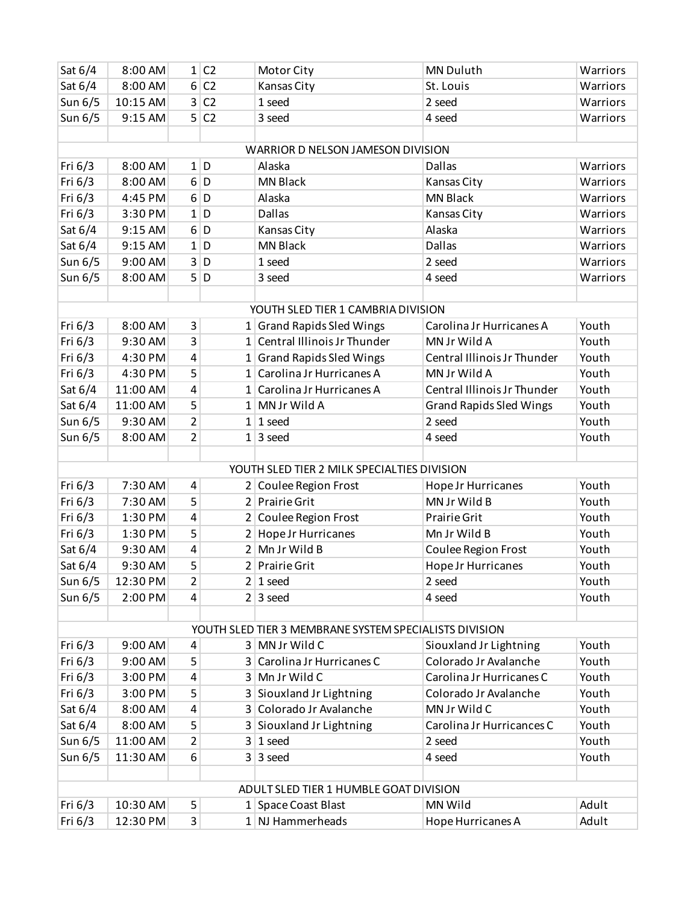| Sat 6/4                                                | 8:00 AM              |                | 1 C2           | Motor City                                  | MN Duluth                                       | Warriors       |
|--------------------------------------------------------|----------------------|----------------|----------------|---------------------------------------------|-------------------------------------------------|----------------|
| Sat 6/4                                                | 8:00 AM              | 6 <sup>1</sup> | C <sub>2</sub> | Kansas City                                 | St. Louis                                       | Warriors       |
| Sun 6/5                                                | 10:15 AM             | $\overline{3}$ | C <sub>2</sub> | 1 seed                                      | 2 seed                                          | Warriors       |
| Sun 6/5                                                | 9:15 AM              |                | 5 C2           | 3 seed                                      | 4 seed                                          | Warriors       |
|                                                        |                      |                |                |                                             |                                                 |                |
|                                                        |                      |                |                | WARRIOR D NELSON JAMESON DIVISION           |                                                 |                |
| Fri 6/3                                                | 8:00 AM              |                | 1 D            | Alaska                                      | Dallas                                          | Warriors       |
| Fri 6/3                                                | 8:00 AM              | 6              | D              | <b>MN Black</b>                             | Kansas City                                     | Warriors       |
| Fri 6/3                                                | 4:45 PM              | $6 \mid$       | D              | Alaska                                      | <b>MN Black</b>                                 | Warriors       |
| Fri 6/3                                                | 3:30 PM              |                | $1$ D          | <b>Dallas</b>                               | Kansas City                                     | Warriors       |
| Sat 6/4                                                | 9:15 AM              | 6              | D              | Kansas City                                 | Alaska                                          | Warriors       |
| Sat 6/4                                                | 9:15 AM              |                | 1 D            | <b>MN Black</b>                             | <b>Dallas</b>                                   | Warriors       |
| Sun 6/5                                                | 9:00 AM              | 3 <sup>1</sup> | D              | 1 seed                                      | 2 seed                                          | Warriors       |
| Sun 6/5                                                | 8:00 AM              | 5 <sup>1</sup> | D              | 3 seed                                      | 4 seed                                          | Warriors       |
|                                                        |                      |                |                |                                             |                                                 |                |
|                                                        |                      |                |                | YOUTH SLED TIER 1 CAMBRIA DIVISION          |                                                 |                |
| Fri 6/3                                                | 8:00 AM              | 3              |                | 1 Grand Rapids Sled Wings                   | Carolina Jr Hurricanes A                        | Youth          |
| Fri 6/3                                                | 9:30 AM              | 3              |                | 1 Central Illinois Jr Thunder               | MN Jr Wild A                                    | Youth          |
| Fri 6/3                                                | 4:30 PM              | 4              |                | 1 Grand Rapids Sled Wings                   | Central Illinois Jr Thunder                     | Youth          |
| Fri 6/3                                                | 4:30 PM              | 5              |                | 1 Carolina Jr Hurricanes A                  | MN Jr Wild A                                    | Youth          |
| Sat 6/4                                                | 11:00 AM             | 4              |                | 1 Carolina Jr Hurricanes A                  | Central Illinois Jr Thunder                     | Youth          |
| Sat 6/4                                                | 11:00 AM             | 5              |                | 1 MN Jr Wild A                              | <b>Grand Rapids Sled Wings</b>                  | Youth          |
| Sun 6/5                                                | 9:30 AM              | $\overline{2}$ |                | $1 1$ seed                                  | 2 seed                                          | Youth          |
| Sun 6/5                                                | 8:00 AM              | $\overline{2}$ |                | $1 \mid 3 \text{ seed}$                     | 4 seed                                          | Youth          |
|                                                        |                      |                |                |                                             |                                                 |                |
|                                                        |                      |                |                | YOUTH SLED TIER 2 MILK SPECIALTIES DIVISION |                                                 |                |
| Fri 6/3                                                | 7:30 AM              | 4              |                | 2 Coulee Region Frost                       | Hope Jr Hurricanes                              | Youth          |
| Fri 6/3                                                | 7:30 AM              | 5              |                | 2 Prairie Grit                              | MN Jr Wild B                                    | Youth          |
| Fri 6/3                                                | 1:30 PM              | 4              |                | 2 Coulee Region Frost                       | <b>Prairie Grit</b>                             | Youth          |
| Fri 6/3                                                | 1:30 PM              | 5              |                | 2 Hope Jr Hurricanes                        | Mn Jr Wild B                                    | Youth          |
| Sat 6/4                                                | 9:30 AM              | 4              |                | 2 Mn Jr Wild B                              | Coulee Region Frost                             | Youth          |
| Sat 6/4                                                | 9:30 AM              | 5              |                | 2 Prairie Grit                              | <b>Hope Jr Hurricanes</b>                       | Youth          |
| Sun 6/5                                                | 12:30 PM             | $\overline{2}$ |                | $2 1$ seed                                  | 2 seed                                          | Youth          |
| Sun 6/5                                                | 2:00 PM              | 4              |                | $2 \mid 3 \text{ seed}$                     | 4 seed                                          | Youth          |
|                                                        |                      |                |                |                                             |                                                 |                |
| YOUTH SLED TIER 3 MEMBRANE SYSTEM SPECIALISTS DIVISION |                      |                |                |                                             |                                                 |                |
| Fri $6/3$                                              | 9:00 AM              | 4              |                | 3 MN Jr Wild C                              | Siouxland Jr Lightning<br>Colorado Jr Avalanche | Youth          |
| Fri 6/3                                                | 9:00 AM              | 5              |                | 3 Carolina Jr Hurricanes C                  |                                                 | Youth          |
| Fri $6/3$                                              |                      |                |                |                                             |                                                 |                |
|                                                        | 3:00 PM              | 4              |                | 3 Mn Jr Wild C                              | Carolina Jr Hurricanes C                        | Youth          |
| Fri 6/3                                                | 3:00 PM              | 5              |                | 3 Siouxland Jr Lightning                    | Colorado Jr Avalanche                           | Youth          |
| Sat 6/4                                                | 8:00 AM              | 4              |                | 3 Colorado Jr Avalanche                     | MN Jr Wild C                                    | Youth          |
| Sat 6/4                                                | 8:00 AM              | 5              |                | 3 Siouxland Jr Lightning                    | Carolina Jr Hurricances C                       | Youth          |
| Sun 6/5                                                | 11:00 AM             | 2              |                | $3 1$ seed                                  | 2 seed                                          | Youth          |
| Sun 6/5                                                | 11:30 AM             | 6              |                | $3 \mid 3 \text{ seed}$                     | 4 seed                                          | Youth          |
|                                                        |                      |                |                |                                             |                                                 |                |
|                                                        |                      |                |                | ADULT SLED TIER 1 HUMBLE GOAT DIVISION      |                                                 |                |
| Fri $6/3$<br>Fri 6/3                                   | 10:30 AM<br>12:30 PM | 5<br>3         |                | 1 Space Coast Blast<br>$1$ NJ Hammerheads   | MN Wild<br>Hope Hurricanes A                    | Adult<br>Adult |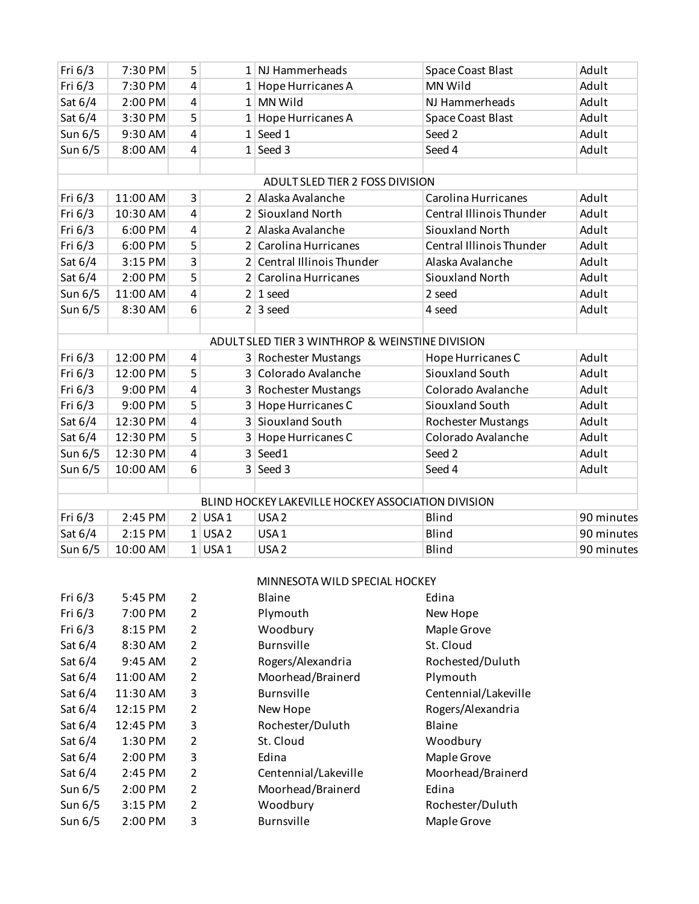| Fri 6/3                                         | 7:30 PM  | 5 |           | 1 NJ Hammerheads                                   | <b>Space Coast Blast</b>  | Adult      |  |
|-------------------------------------------------|----------|---|-----------|----------------------------------------------------|---------------------------|------------|--|
| Fri 6/3                                         | 7:30 PM  | 4 |           | $1$ Hope Hurricanes A                              | MN Wild                   | Adult      |  |
| Sat 6/4                                         | 2:00 PM  | 4 |           | 1 MN Wild                                          | NJ Hammerheads            | Adult      |  |
| Sat 6/4                                         | 3:30 PM  | 5 |           | 1 Hope Hurricanes A                                | <b>Space Coast Blast</b>  | Adult      |  |
| Sun 6/5                                         | 9:30 AM  | 4 |           | $1$ Seed 1                                         | Seed 2                    | Adult      |  |
| Sun 6/5                                         | 8:00 AM  | 4 |           | $1$ Seed 3                                         | Seed 4                    | Adult      |  |
|                                                 |          |   |           |                                                    |                           |            |  |
| ADULT SLED TIER 2 FOSS DIVISION                 |          |   |           |                                                    |                           |            |  |
| Fri 6/3                                         | 11:00 AM | 3 |           | 2 Alaska Avalanche                                 | Carolina Hurricanes       | Adult      |  |
| Fri 6/3                                         | 10:30 AM | 4 |           | 2 Siouxland North                                  | Central Illinois Thunder  | Adult      |  |
| Fri 6/3                                         | 6:00 PM  | 4 |           | 2 Alaska Avalanche                                 | Siouxland North           | Adult      |  |
| Fri 6/3                                         | 6:00 PM  | 5 |           | 2 Carolina Hurricanes                              | Central Illinois Thunder  | Adult      |  |
| Sat 6/4                                         | 3:15 PM  | 3 |           | 2 Central Illinois Thunder                         | Alaska Avalanche          | Adult      |  |
| Sat 6/4                                         | 2:00 PM  | 5 |           | 2 Carolina Hurricanes                              | Siouxland North           | Adult      |  |
| Sun 6/5                                         | 11:00 AM | 4 |           | $2 1$ seed                                         | 2 seed                    | Adult      |  |
| Sun 6/5                                         | 8:30 AM  | 6 |           | $2 3 \text{ seed}$                                 | 4 seed                    | Adult      |  |
|                                                 |          |   |           |                                                    |                           |            |  |
| ADULT SLED TIER 3 WINTHROP & WEINSTINE DIVISION |          |   |           |                                                    |                           |            |  |
| Fri 6/3                                         | 12:00 PM | 4 |           | 3 Rochester Mustangs                               | Hope Hurricanes C         | Adult      |  |
| Fri 6/3                                         | 12:00 PM | 5 |           | 3 Colorado Avalanche                               | Siouxland South           | Adult      |  |
| Fri 6/3                                         | 9:00 PM  | 4 |           | 3 Rochester Mustangs                               | Colorado Avalanche        | Adult      |  |
| Fri 6/3                                         | 9:00 PM  | 5 |           | 3 Hope Hurricanes C                                | Siouxland South           | Adult      |  |
| Sat 6/4                                         | 12:30 PM | 4 |           | 3 Siouxland South                                  | <b>Rochester Mustangs</b> | Adult      |  |
| Sat 6/4                                         | 12:30 PM | 5 |           | 3 Hope Hurricanes C                                | Colorado Avalanche        | Adult      |  |
| Sun 6/5                                         | 12:30 PM | 4 |           | $3$ Seed1                                          | Seed 2                    | Adult      |  |
| Sun 6/5                                         | 10:00 AM | 6 |           | $3$ Seed 3                                         | Seed 4                    | Adult      |  |
|                                                 |          |   |           |                                                    |                           |            |  |
|                                                 |          |   |           | BLIND HOCKEY LAKEVILLE HOCKEY ASSOCIATION DIVISION |                           |            |  |
| Fri 6/3                                         | 2:45 PM  |   | $2$ USA 1 | USA <sub>2</sub>                                   | Blind                     | 90 minutes |  |
| Sat 6/4                                         | 2:15 PM  |   | $1$ USA 2 | USA <sub>1</sub>                                   | Blind                     | 90 minutes |  |
| Sun 6/5                                         | 10:00 AM |   | $1$ USA 1 | USA <sub>2</sub>                                   | Blind                     | 90 minutes |  |

## MINNESOTA WILD SPECIAL HOCKEY

| Fri $6/3$ | 5:45 PM   | $\overline{2}$ | Blaine               | Edina                |
|-----------|-----------|----------------|----------------------|----------------------|
| Fri $6/3$ | 7:00 PM   | $\overline{2}$ | Plymouth             | New Hope             |
| Fri $6/3$ | 8:15 PM   | $\overline{2}$ | Woodbury             | Maple Grove          |
| Sat 6/4   | 8:30 AM   | 2              | <b>Burnsville</b>    | St. Cloud            |
| Sat 6/4   | 9:45 AM   | $\overline{2}$ | Rogers/Alexandria    | Rochested/Duluth     |
| Sat $6/4$ | 11:00 AM  | $\overline{2}$ | Moorhead/Brainerd    | Plymouth             |
| Sat $6/4$ | 11:30 AM  | 3              | <b>Burnsville</b>    | Centennial/Lakeville |
| Sat $6/4$ | 12:15 PM  | $\overline{2}$ | New Hope             | Rogers/Alexandria    |
| Sat $6/4$ | 12:45 PM  | 3              | Rochester/Duluth     | Blaine               |
| Sat $6/4$ | 1:30 PM   | $\overline{2}$ | St. Cloud            | Woodbury             |
| Sat 6/4   | 2:00 PM   | 3              | Edina                | Maple Grove          |
| Sat $6/4$ | 2:45 PM   | $\overline{2}$ | Centennial/Lakeville | Moorhead/Brainerd    |
| Sun 6/5   | 2:00 PM   | $\overline{2}$ | Moorhead/Brainerd    | Edina                |
| Sun $6/5$ | 3:15 PM   | $\overline{2}$ | Woodbury             | Rochester/Duluth     |
| Sun 6/5   | $2:00$ PM | 3              | <b>Burnsville</b>    | Maple Grove          |